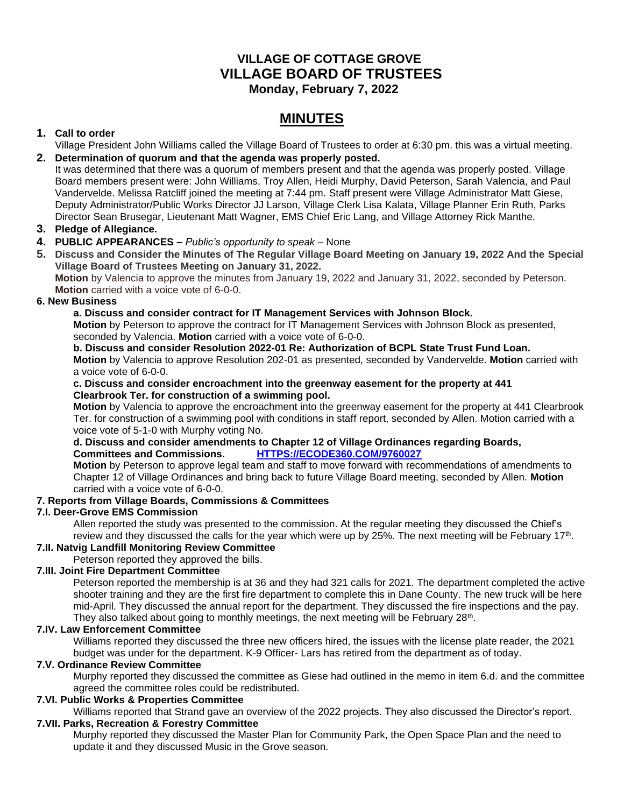## **VILLAGE OF COTTAGE GROVE VILLAGE BOARD OF TRUSTEES Monday, February 7, 2022**

# **MINUTES**

## **1. Call to order**

Village President John Williams called the Village Board of Trustees to order at 6:30 pm. this was a virtual meeting. **2. Determination of quorum and that the agenda was properly posted.**

It was determined that there was a quorum of members present and that the agenda was properly posted. Village Board members present were: John Williams, Troy Allen, Heidi Murphy, David Peterson, Sarah Valencia, and Paul Vandervelde. Melissa Ratcliff joined the meeting at 7:44 pm. Staff present were Village Administrator Matt Giese, Deputy Administrator/Public Works Director JJ Larson, Village Clerk Lisa Kalata, Village Planner Erin Ruth, Parks Director Sean Brusegar, Lieutenant Matt Wagner, EMS Chief Eric Lang, and Village Attorney Rick Manthe.

## **3. Pledge of Allegiance.**

## **4. PUBLIC APPEARANCES –** *Public's opportunity to speak –* None

**5. Discuss and Consider the Minutes of The Regular Village Board Meeting on January 19, 2022 And the Special Village Board of Trustees Meeting on January 31, 2022.**

**Motion** by Valencia to approve the minutes from January 19, 2022 and January 31, 2022, seconded by Peterson. **Motion** carried with a voice vote of 6-0-0.

#### **6. New Business**

#### **a. Discuss and consider contract for IT Management Services with Johnson Block.**

**Motion** by Peterson to approve the contract for IT Management Services with Johnson Block as presented, seconded by Valencia. **Motion** carried with a voice vote of 6-0-0.

**b. Discuss and consider Resolution 2022-01 Re: Authorization of BCPL State Trust Fund Loan. Motion** by Valencia to approve Resolution 202-01 as presented, seconded by Vandervelde. **Motion** carried with a voice vote of 6-0-0.

#### **c. Discuss and consider encroachment into the greenway easement for the property at 441 Clearbrook Ter. for construction of a swimming pool.**

**Motion** by Valencia to approve the encroachment into the greenway easement for the property at 441 Clearbrook Ter. for construction of a swimming pool with conditions in staff report, seconded by Allen. Motion carried with a voice vote of 5-1-0 with Murphy voting No.

## **d. Discuss and consider amendments to Chapter 12 of Village Ordinances regarding Boards, Committees and Commissions. [HTTPS://ECODE360.COM/9760027](https://ecode360.com/9760027)**

**Motion** by Peterson to approve legal team and staff to move forward with recommendations of amendments to Chapter 12 of Village Ordinances and bring back to future Village Board meeting, seconded by Allen. **Motion** carried with a voice vote of 6-0-0.

## **7. Reports from Village Boards, Commissions & Committees**

## **7.I. Deer-Grove EMS Commission**

Allen reported the study was presented to the commission. At the regular meeting they discussed the Chief's review and they discussed the calls for the year which were up by 25%. The next meeting will be February 17<sup>th</sup>.

## **7.II. Natvig Landfill Monitoring Review Committee**

Peterson reported they approved the bills.

## **7.III. Joint Fire Department Committee**

Peterson reported the membership is at 36 and they had 321 calls for 2021. The department completed the active shooter training and they are the first fire department to complete this in Dane County. The new truck will be here mid-April. They discussed the annual report for the department. They discussed the fire inspections and the pay. They also talked about going to monthly meetings, the next meeting will be February 28<sup>th</sup>.

## **7.IV. Law Enforcement Committee**

Williams reported they discussed the three new officers hired, the issues with the license plate reader, the 2021 budget was under for the department. K-9 Officer- Lars has retired from the department as of today.

## **7.V. Ordinance Review Committee**

Murphy reported they discussed the committee as Giese had outlined in the memo in item 6.d. and the committee agreed the committee roles could be redistributed.

## **7.VI. Public Works & Properties Committee**

Williams reported that Strand gave an overview of the 2022 projects. They also discussed the Director's report. **7.VII. Parks, Recreation & Forestry Committee**

Murphy reported they discussed the Master Plan for Community Park, the Open Space Plan and the need to update it and they discussed Music in the Grove season.